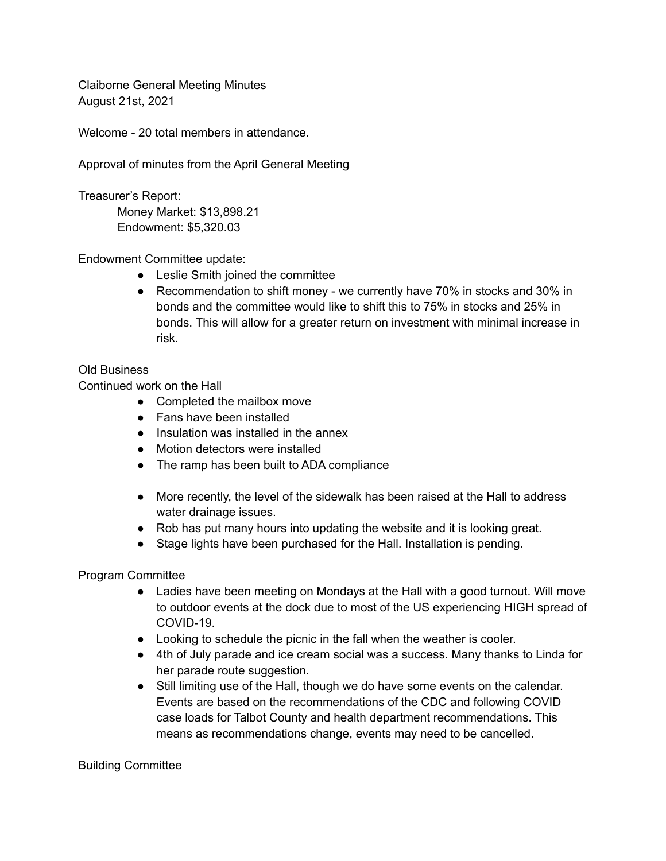Claiborne General Meeting Minutes August 21st, 2021

Welcome - 20 total members in attendance.

Approval of minutes from the April General Meeting

Treasurer's Report: Money Market: \$13,898.21 Endowment: \$5,320.03

Endowment Committee update:

- Leslie Smith joined the committee
- Recommendation to shift money we currently have 70% in stocks and 30% in bonds and the committee would like to shift this to 75% in stocks and 25% in bonds. This will allow for a greater return on investment with minimal increase in risk.

## Old Business

Continued work on the Hall

- Completed the mailbox move
- Fans have been installed
- Insulation was installed in the annex
- Motion detectors were installed
- The ramp has been built to ADA compliance
- More recently, the level of the sidewalk has been raised at the Hall to address water drainage issues.
- Rob has put many hours into updating the website and it is looking great.
- Stage lights have been purchased for the Hall. Installation is pending.

Program Committee

- Ladies have been meeting on Mondays at the Hall with a good turnout. Will move to outdoor events at the dock due to most of the US experiencing HIGH spread of COVID-19.
- Looking to schedule the picnic in the fall when the weather is cooler.
- 4th of July parade and ice cream social was a success. Many thanks to Linda for her parade route suggestion.
- Still limiting use of the Hall, though we do have some events on the calendar. Events are based on the recommendations of the CDC and following COVID case loads for Talbot County and health department recommendations. This means as recommendations change, events may need to be cancelled.

Building Committee